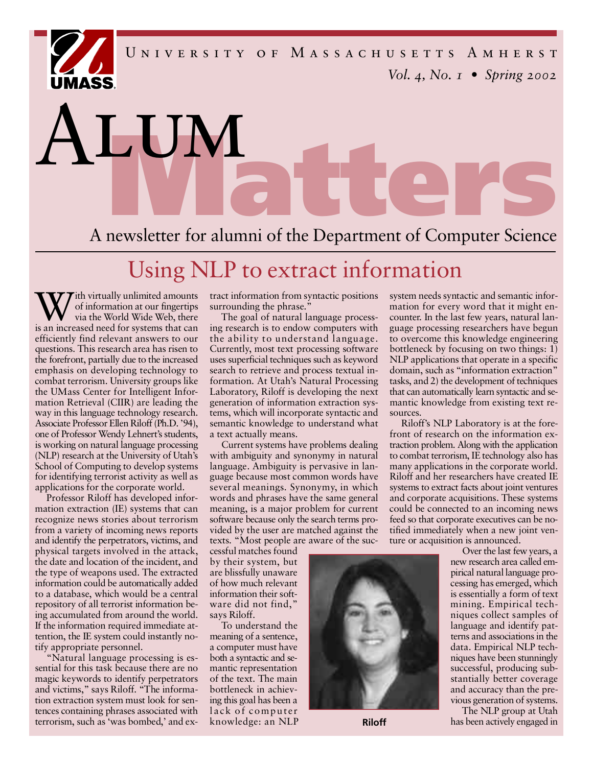*Vol. 4, No. 1 • Spring 2002* U N I V E R S I T Y O F M A S S A C H U S E T T S A M H E R S T

**Matter of alumni of the Department of Computer Science** 

## Using NLP to extract information

W ith virtually unlimited amounts<br>of information at our fingertips<br>is an increased need for systems that can ith virtually unlimited amounts of information at our fingertips via the World Wide Web, there e fficiently find relevant answers to our questions. This research area has risen to the forefront, partially due to the increased emphasis on developing technology to combat terrorism. University groups like the UMass Center for Intelligent Information Retrieval (CIIR) are leading the way in this language technology research. Associate Professor Ellen Riloff (Ph.D. '94), one of Professor Wendy Lehnert 's students, is working on natural language processing (NLP) research at the University of Utah's School of Computing to develop systems for identifying terrorist activity as well as applications for the corporate world.

LUM

a a

Professor Riloff has developed information extraction (IE) systems that can recognize news stories about terrorism from a variety of incoming news reports and identify the perpetrators, victims, and physical targets involved in the attack, the date and location of the incident, and the type of weapons used. The extracted information could be automatically added to a database, which would be a central repository of all terrorist information being accumulated from around the world. If the information required immediate attention, the IE system could instantly notify appropriate personnel.

"Natural language processing is essential for this task because there are no magic keywords to identify perpetrators and victims," says Riloff. "The information extraction system must look for sentences containing phrases associated with terrorism, such as 'was bombed,' and extract information from syntactic positions surrounding the phrase."

The goal of natural language processing research is to endow computers with the ability to understand language. Currently, most text processing software uses superficial techniques such as keyword search to retrieve and process textual information. At Utah's Natural Processing Laboratory, Riloff is developing the next generation of information extraction systems, which will incorporate syntactic and semantic knowledge to understand what a text actually means.

Current systems have problems dealing with ambiguity and synonymy in natural language. Ambiguity is pervasive in language because most common words have several meanings. Synonymy, in which words and phrases have the same general meaning, is a major problem for current software because only the search terms provided by the user are matched against the texts. "Most people are aware of the suc-

cessful matches found by their system, but are blissfully unaware of how much relevant information their software did not find," says Riloff.

To understand the meaning of a sentence, a computer must have both a syntactic and semantic representation of the text. The main bottleneck in achieving this goal has been a lack of computer knowledge: an NLP system needs syntactic and semantic information for every word that it might encounter. In the last few years, natural language processing researchers have begun to overcome this knowledge engineering bottleneck by focusing on two things: 1) NLP applications that operate in a specific domain, such as "information extraction" tasks, and 2) the development of techniques that can automatically learn syntactic and semantic knowledge from existing text resources.

Riloff's NLP Laboratory is at the forefront of research on the information extraction problem. Along with the application to combat terrorism, IE technology also has many applications in the corporate world. Riloff and her researchers have created IE systems to extract facts about joint ventures and corporate acquisitions. These systems could be connected to an incoming news feed so that corporate executives can be notified immediately when a new joint venture or acquisition is announced.

Over the last few years, a new research area called empirical natural language processing has emerged, which is essentially a form of text mining. Empirical techniques collect samples of language and identify patterns and associations in the data. Empirical NLP techniques have been stunningly successful, producing substantially better coverage and accuracy than the previous generation of systems.

The NLP group at Utah **Riloff** has been actively engaged in